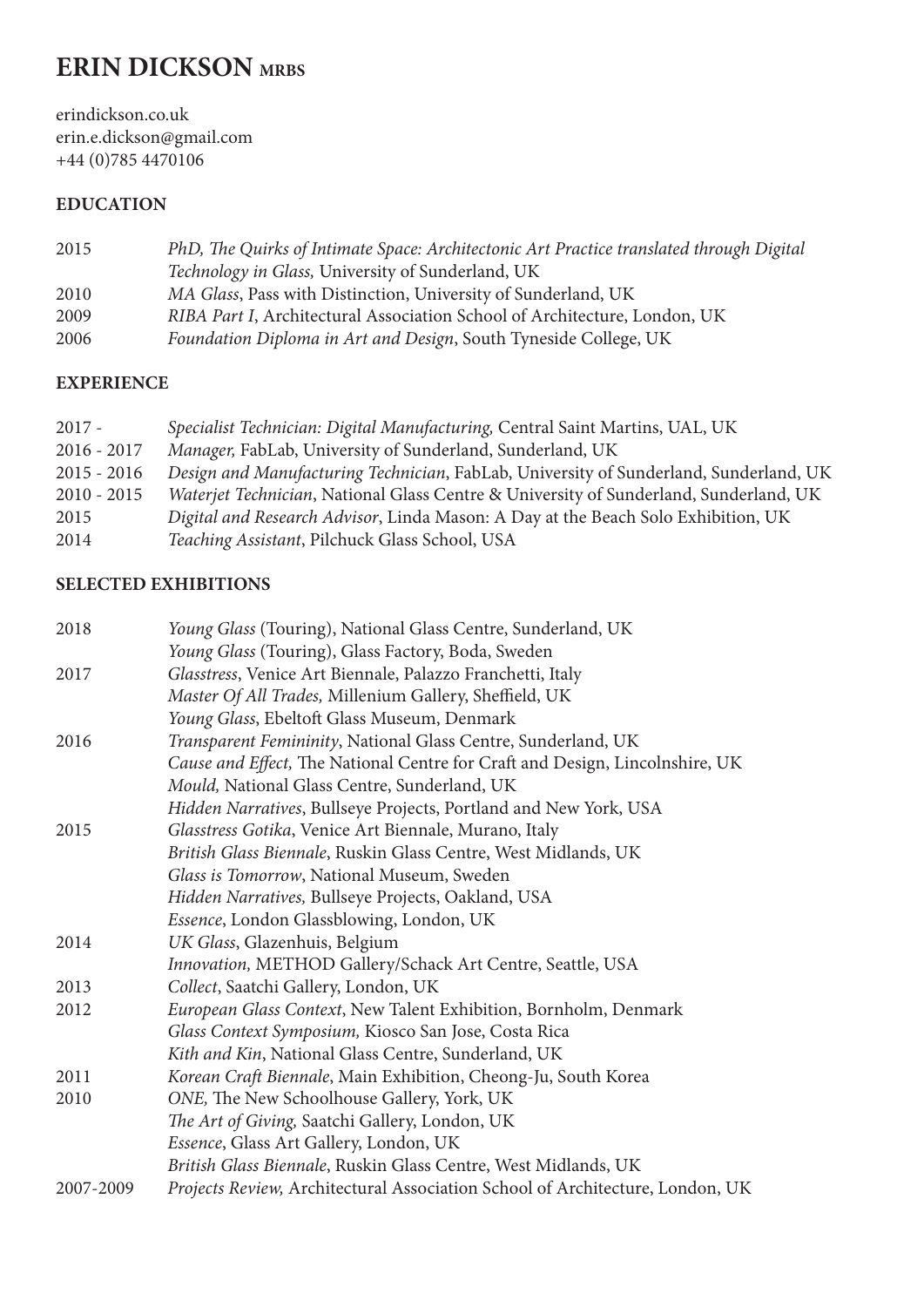# **ERIN DICKSON MRBS**

erindickson.co.uk erin.e.dickson@gmail.com +44 (0)785 4470106

# **EDUCATION**

| 2015 | PhD, The Quirks of Intimate Space: Architectonic Art Practice translated through Digital |
|------|------------------------------------------------------------------------------------------|
|      | Technology in Glass, University of Sunderland, UK                                        |
| 2010 | MA Glass, Pass with Distinction, University of Sunderland, UK                            |
| 2009 | RIBA Part I, Architectural Association School of Architecture, London, UK                |
| 2006 | Foundation Diploma in Art and Design, South Tyneside College, UK                         |

#### **EXPERIENCE**

| $2017 -$      | Specialist Technician: Digital Manufacturing, Central Saint Martins, UAL, UK          |
|---------------|---------------------------------------------------------------------------------------|
| $2016 - 2017$ | Manager, FabLab, University of Sunderland, Sunderland, UK                             |
| $2015 - 2016$ | Design and Manufacturing Technician, FabLab, University of Sunderland, Sunderland, UK |
| $2010 - 2015$ | Waterjet Technician, National Glass Centre & University of Sunderland, Sunderland, UK |
| 2015          | Digital and Research Advisor, Linda Mason: A Day at the Beach Solo Exhibition, UK     |
| 2014          | Teaching Assistant, Pilchuck Glass School, USA                                        |

### **SELECTED EXHIBITIONS**

| 2018      | Young Glass (Touring), National Glass Centre, Sunderland, UK                  |
|-----------|-------------------------------------------------------------------------------|
|           | Young Glass (Touring), Glass Factory, Boda, Sweden                            |
| 2017      | Glasstress, Venice Art Biennale, Palazzo Franchetti, Italy                    |
|           | Master Of All Trades, Millenium Gallery, Sheffield, UK                        |
|           | Young Glass, Ebeltoft Glass Museum, Denmark                                   |
| 2016      | Transparent Femininity, National Glass Centre, Sunderland, UK                 |
|           | Cause and Effect, The National Centre for Craft and Design, Lincolnshire, UK  |
|           | Mould, National Glass Centre, Sunderland, UK                                  |
|           | Hidden Narratives, Bullseye Projects, Portland and New York, USA              |
| 2015      | Glasstress Gotika, Venice Art Biennale, Murano, Italy                         |
|           | British Glass Biennale, Ruskin Glass Centre, West Midlands, UK                |
|           | Glass is Tomorrow, National Museum, Sweden                                    |
|           | Hidden Narratives, Bullseye Projects, Oakland, USA                            |
|           | Essence, London Glassblowing, London, UK                                      |
| 2014      | UK Glass, Glazenhuis, Belgium                                                 |
|           | Innovation, METHOD Gallery/Schack Art Centre, Seattle, USA                    |
| 2013      | Collect, Saatchi Gallery, London, UK                                          |
| 2012      | European Glass Context, New Talent Exhibition, Bornholm, Denmark              |
|           | Glass Context Symposium, Kiosco San Jose, Costa Rica                          |
|           | Kith and Kin, National Glass Centre, Sunderland, UK                           |
| 2011      | Korean Craft Biennale, Main Exhibition, Cheong-Ju, South Korea                |
| 2010      | ONE, The New Schoolhouse Gallery, York, UK                                    |
|           | The Art of Giving, Saatchi Gallery, London, UK                                |
|           | Essence, Glass Art Gallery, London, UK                                        |
|           | British Glass Biennale, Ruskin Glass Centre, West Midlands, UK                |
| 2007-2009 | Projects Review, Architectural Association School of Architecture, London, UK |